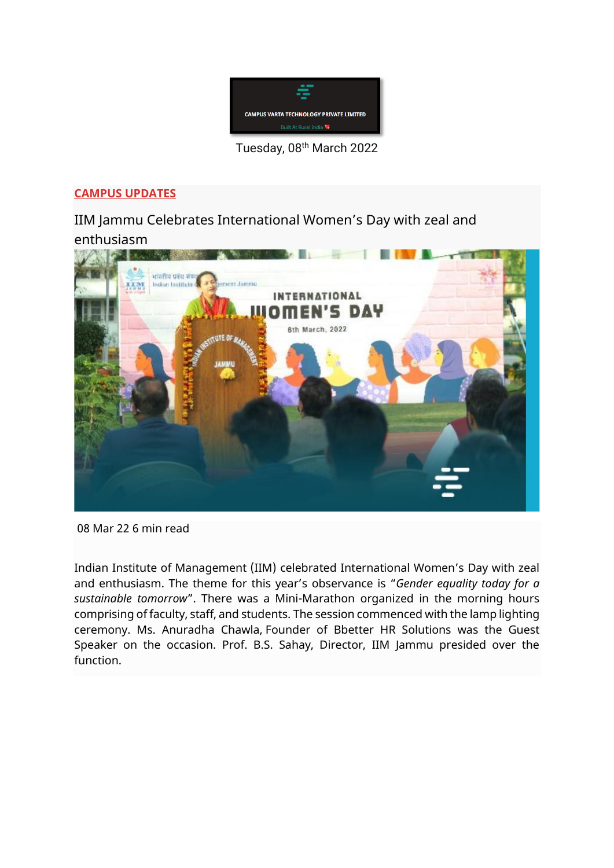

Tuesday, 08th March 2022

#### **[CAMPUS UPDATES](https://www.campusvarta.com/category/campus-updates)**

IIM Jammu Celebrates International Women's Day with zeal and enthusiasm



08 Mar 22 6 min read

Indian Institute of Management (IIM) celebrated International Women's Day with zeal and enthusiasm. The theme for this year's observance is "*Gender equality today for a sustainable tomorrow*". There was a Mini-Marathon organized in the morning hours comprising of faculty, staff, and students. The session commenced with the lamp lighting ceremony. Ms. Anuradha Chawla, Founder of Bbetter HR Solutions was the Guest Speaker on the occasion. Prof. B.S. Sahay, Director, IIM Jammu presided over the function.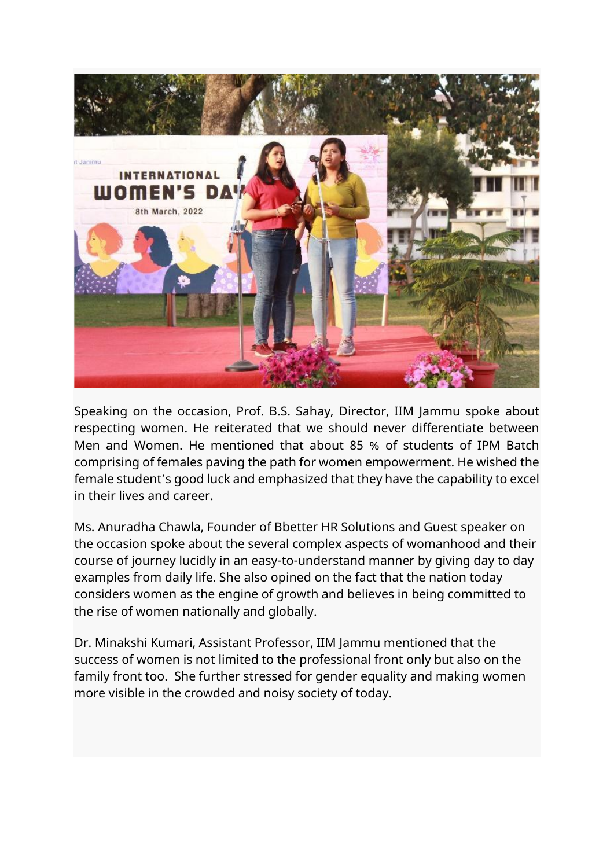

Speaking on the occasion, Prof. B.S. Sahay, Director, IIM Jammu spoke about respecting women. He reiterated that we should never differentiate between Men and Women. He mentioned that about 85 % of students of IPM Batch comprising of females paving the path for women empowerment. He wished the female student's good luck and emphasized that they have the capability to excel in their lives and career.

Ms. Anuradha Chawla, Founder of Bbetter HR Solutions and Guest speaker on the occasion spoke about the several complex aspects of womanhood and their course of journey lucidly in an easy-to-understand manner by giving day to day examples from daily life. She also opined on the fact that the nation today considers women as the engine of growth and believes in being committed to the rise of women nationally and globally.

Dr. Minakshi Kumari, Assistant Professor, IIM Jammu mentioned that the success of women is not limited to the professional front only but also on the family front too. She further stressed for gender equality and making women more visible in the crowded and noisy society of today.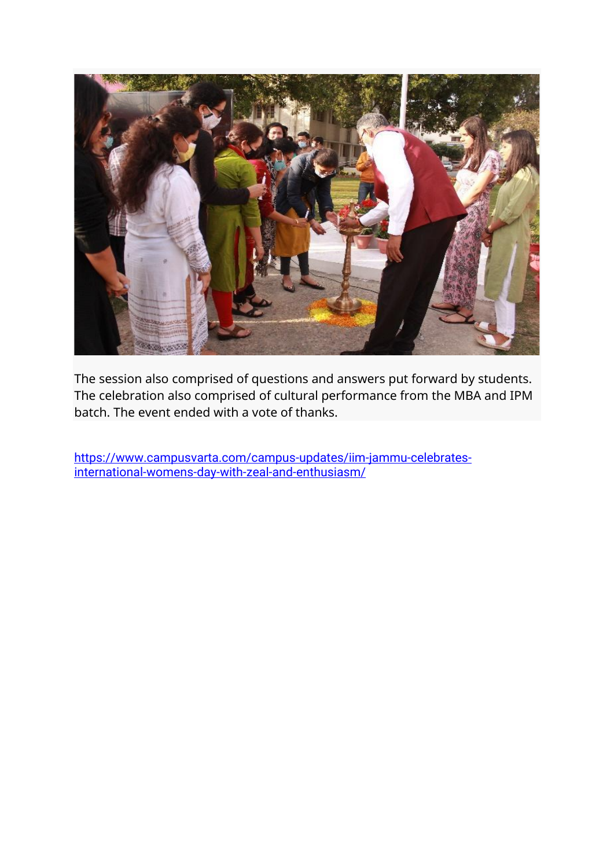

The session also comprised of questions and answers put forward by students. The celebration also comprised of cultural performance from the MBA and IPM batch. The event ended with a vote of thanks.

[https://www.campusvarta.com/campus-updates/iim-jammu-celebrates](https://www.campusvarta.com/campus-updates/iim-jammu-celebrates-international-womens-day-with-zeal-and-enthusiasm/)[international-womens-day-with-zeal-and-enthusiasm/](https://www.campusvarta.com/campus-updates/iim-jammu-celebrates-international-womens-day-with-zeal-and-enthusiasm/)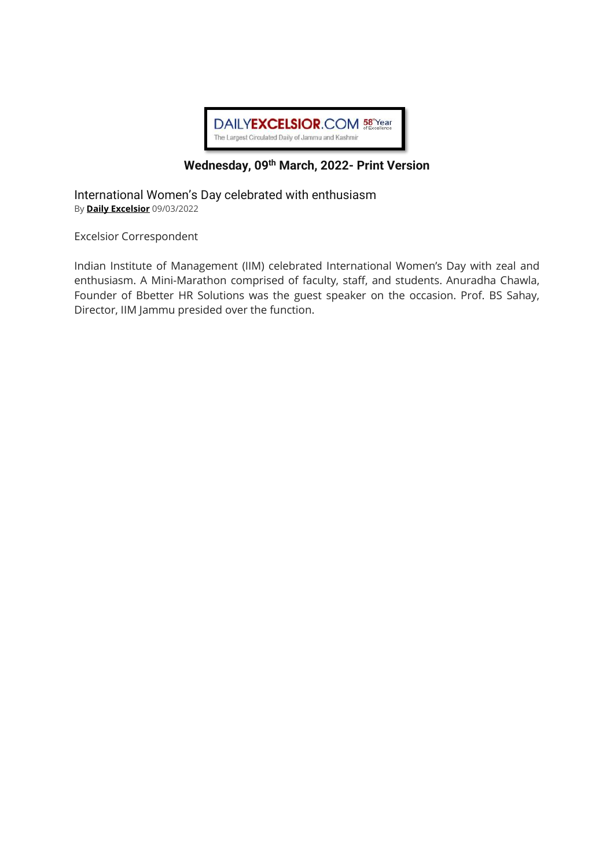

#### **Wednesday, 09 th March, 2022- Print Version**

International Women's Day celebrated with enthusiasm By **[Daily Excelsior](https://www.dailyexcelsior.com/author/admin/)** 09/03/2022

Excelsior Correspondent

Indian Institute of Management (IIM) celebrated International Women's Day with zeal and enthusiasm. A Mini-Marathon comprised of faculty, staff, and students. Anuradha Chawla, Founder of Bbetter HR Solutions was the guest speaker on the occasion. Prof. BS Sahay, Director, IIM Jammu presided over the function.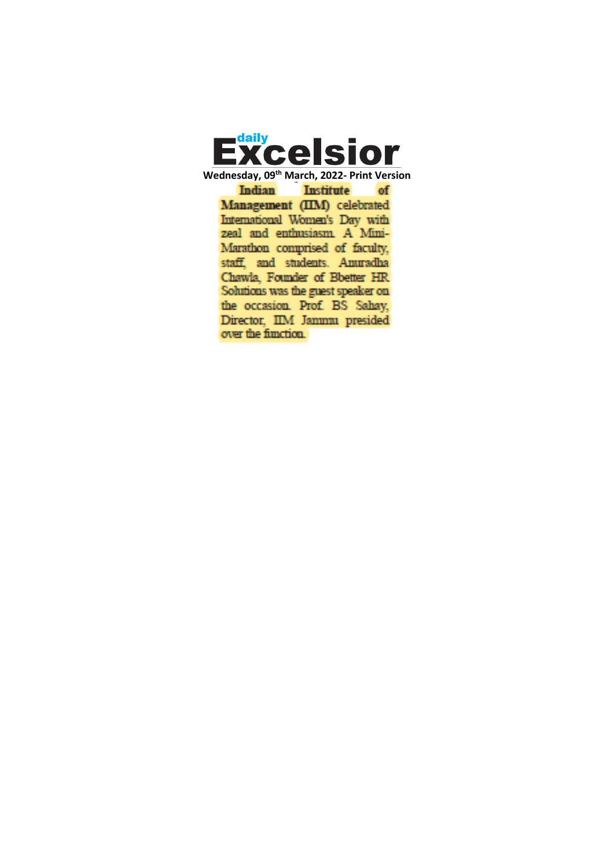

**Wednesday, 09th March, 2022- Print VersionIndian Institute** of Management (IIM) celebrated International Women's Day with zeal and enthusiasm. A Mini-Marathon comprised of faculty, staff, and students. Amuradha Chawla, Founder of Bbetter HR Solutions was the guest speaker on the occasion. Prof. BS Sahay, Director, IIM Jammu presided over the function.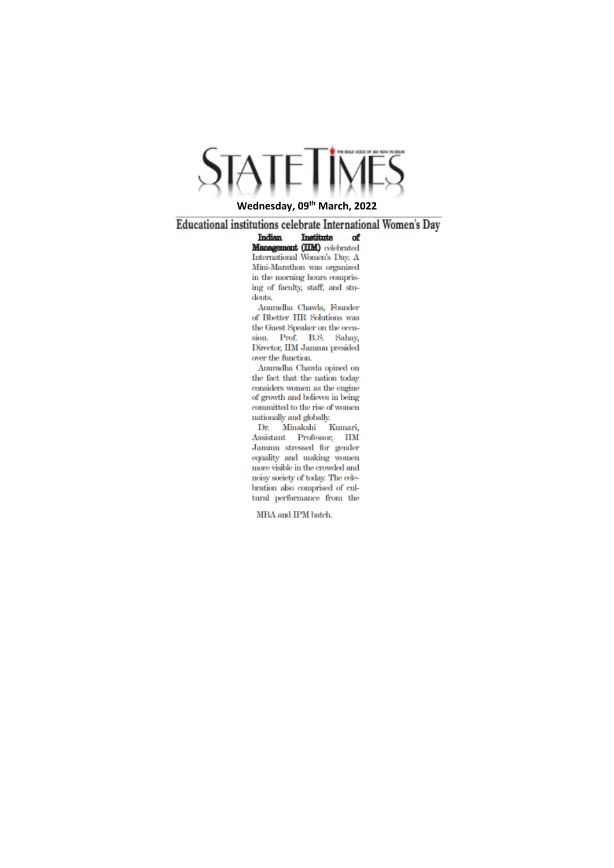# ETIMES

#### **Wednesday, 09th March, 2022**

**Educational institutions celebrate International Women's Day** 

Indian Institute of Management (IIM) celebrated International Women's Day. A Mini-Marathon was organized in the morning hours comprising of faculty, staff, and students.

Anuradha Chawla, Founder of Bbetter HR Solutions was the Guest Speaker on the occasion. Prof. B.S. Sahay, Director. IIM Jammu presided over the function.

Anuradha Chawla opined on the fact that the nation today considers women as the engine of growth and believes in being committed to the rise of women nationally and globally.

Dr. Minakshi Kumari, Assistant Professor, IIM Jammu stressed for gender equality and making women more visible in the crowded and noisy society of today. The celebration also comprised of cultural performance from the

MBA and IPM batch.